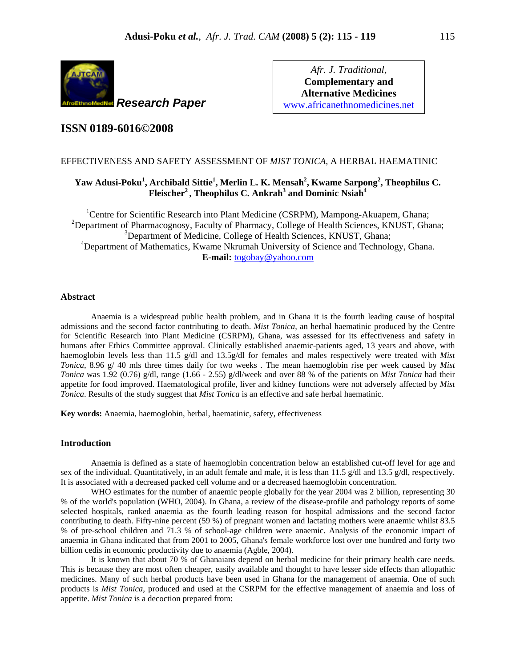

*Afr. J. Traditional*, **Complementary and Alternative Medicines**  www.africanethnomedicines.net

# **ISSN 0189-6016©2008**

# EFFECTIVENESS AND SAFETY ASSESSMENT OF *MIST TONICA*, A HERBAL HAEMATINIC

# **Yaw Adusi-Poku<sup>1</sup> , Archibald Sittie1 , Merlin L. K. Mensah2 , Kwame Sarpong<sup>2</sup> , Theophilus C. Fleischer2 , Theophilus C. Ankrah3 and Dominic Nsiah<sup>4</sup>**

<sup>1</sup>Centre for Scientific Research into Plant Medicine (CSRPM), Mampong-Akuapem, Ghana; <sup>2</sup>Department of Pharmacognosy, Faculty of Pharmacy, College of Health Sciences, KNUST, Ghana; <sup>3</sup>Department of Medicine, College of Health Sciences, KNUST, Ghana; <sup>4</sup>Department of Mathematics, Kwame Nkrumah University of Science and Technology, Ghana. **E-mail:** togobay@yahoo.com

# **Abstract**

Anaemia is a widespread public health problem, and in Ghana it is the fourth leading cause of hospital admissions and the second factor contributing to death. *Mist Tonica*, an herbal haematinic produced by the Centre for Scientific Research into Plant Medicine (CSRPM), Ghana, was assessed for its effectiveness and safety in humans after Ethics Committee approval. Clinically established anaemic-patients aged, 13 years and above, with haemoglobin levels less than 11.5 g/dl and 13.5g/dl for females and males respectively were treated with *Mist Tonica*, 8.96 g/ 40 mls three times daily for two weeks . The mean haemoglobin rise per week caused by *Mist Tonica* was 1.92 (0.76) g/dl, range (1.66 - 2.55) g/dl/week and over 88 % of the patients on *Mist Tonica* had their appetite for food improved. Haematological profile, liver and kidney functions were not adversely affected by *Mist Tonica*. Results of the study suggest that *Mist Tonica* is an effective and safe herbal haematinic.

**Key words:** Anaemia, haemoglobin, herbal, haematinic, safety, effectiveness

# **Introduction**

Anaemia is defined as a state of haemoglobin concentration below an established cut-off level for age and sex of the individual. Quantitatively, in an adult female and male, it is less than 11.5  $g/dl$  and 13.5  $g/dl$ , respectively. It is associated with a decreased packed cell volume and or a decreased haemoglobin concentration.

WHO estimates for the number of anaemic people globally for the year 2004 was 2 billion, representing 30 % of the world's population (WHO, 2004). In Ghana, a review of the disease-profile and pathology reports of some selected hospitals, ranked anaemia as the fourth leading reason for hospital admissions and the second factor contributing to death. Fifty-nine percent (59 %) of pregnant women and lactating mothers were anaemic whilst 83.5 % of pre-school children and 71.3 % of school-age children were anaemic. Analysis of the economic impact of anaemia in Ghana indicated that from 2001 to 2005, Ghana's female workforce lost over one hundred and forty two billion cedis in economic productivity due to anaemia (Agble, 2004).

It is known that about 70 % of Ghanaians depend on herbal medicine for their primary health care needs. This is because they are most often cheaper, easily available and thought to have lesser side effects than allopathic medicines. Many of such herbal products have been used in Ghana for the management of anaemia. One of such products is *Mist Tonica,* produced and used at the CSRPM for the effective management of anaemia and loss of appetite. *Mist Tonica* is a decoction prepared from: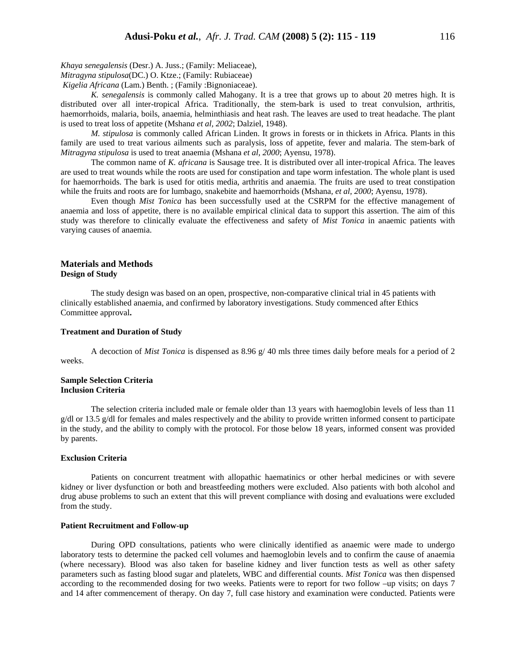*Khaya senegalensis* (Desr.) A. Juss.; (Family: Meliaceae),

*Mitragyna stipulosa*(DC.) O. Ktze.; (Family: Rubiaceae)

*Kigelia Africana* (Lam.) Benth. ; (Family :Bignoniaceae).

*K. senegalensis* is commonly called Mahogany. It is a tree that grows up to about 20 metres high. It is distributed over all inter-tropical Africa. Traditionally, the stem-bark is used to treat convulsion, arthritis, haemorrhoids, malaria, boils, anaemia, helminthiasis and heat rash. The leaves are used to treat headache. The plant is used to treat loss of appetite (Mshan*a et al, 2002*; Dalziel, 1948).

*M. stipulosa* is commonly called African Linden. It grows in forests or in thickets in Africa. Plants in this family are used to treat various ailments such as paralysis, loss of appetite, fever and malaria. The stem-bark of *Mitragyna stipulosa* is used to treat anaemia (Mshana *et al, 2000*; Ayensu, 1978).

The common name of *K. africana* is Sausage tree. It is distributed over all inter-tropical Africa. The leaves are used to treat wounds while the roots are used for constipation and tape worm infestation. The whole plant is used for haemorrhoids. The bark is used for otitis media, arthritis and anaemia. The fruits are used to treat constipation while the fruits and roots are for lumbago, snakebite and haemorrhoids (Mshana*, et al, 2000*; Ayensu, 1978).

Even though *Mist Tonica* has been successfully used at the CSRPM for the effective management of anaemia and loss of appetite, there is no available empirical clinical data to support this assertion. The aim of this study was therefore to clinically evaluate the effectiveness and safety of *Mist Tonica* in anaemic patients with varying causes of anaemia.

# **Materials and Methods Design of Study**

The study design was based on an open, prospective, non-comparative clinical trial in 45 patients with clinically established anaemia, and confirmed by laboratory investigations. Study commenced after Ethics Committee approval**.** 

### **Treatment and Duration of Study**

A decoction of *Mist Tonica* is dispensed as 8.96 g/ 40 mls three times daily before meals for a period of 2 weeks.

# **Sample Selection Criteria Inclusion Criteria**

The selection criteria included male or female older than 13 years with haemoglobin levels of less than 11  $g/d$ l or 13.5  $g/d$ l for females and males respectively and the ability to provide written informed consent to participate in the study, and the ability to comply with the protocol. For those below 18 years, informed consent was provided by parents.

# **Exclusion Criteria**

Patients on concurrent treatment with allopathic haematinics or other herbal medicines or with severe kidney or liver dysfunction or both and breastfeeding mothers were excluded. Also patients with both alcohol and drug abuse problems to such an extent that this will prevent compliance with dosing and evaluations were excluded from the study.

#### **Patient Recruitment and Follow-up**

During OPD consultations, patients who were clinically identified as anaemic were made to undergo laboratory tests to determine the packed cell volumes and haemoglobin levels and to confirm the cause of anaemia (where necessary). Blood was also taken for baseline kidney and liver function tests as well as other safety parameters such as fasting blood sugar and platelets, WBC and differential counts. *Mist Tonica* was then dispensed according to the recommended dosing for two weeks. Patients were to report for two follow –up visits; on days 7 and 14 after commencement of therapy. On day 7, full case history and examination were conducted. Patients were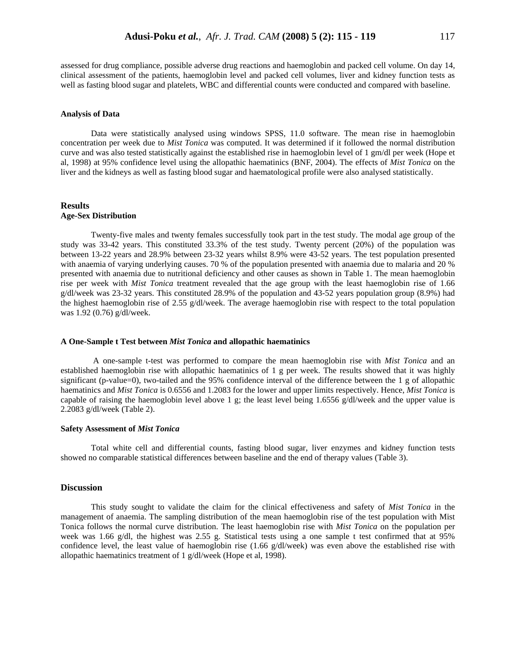assessed for drug compliance, possible adverse drug reactions and haemoglobin and packed cell volume. On day 14, clinical assessment of the patients, haemoglobin level and packed cell volumes, liver and kidney function tests as well as fasting blood sugar and platelets, WBC and differential counts were conducted and compared with baseline.

#### **Analysis of Data**

Data were statistically analysed using windows SPSS, 11.0 software. The mean rise in haemoglobin concentration per week due to *Mist Tonica* was computed. It was determined if it followed the normal distribution curve and was also tested statistically against the established rise in haemoglobin level of 1 gm/dl per week (Hope et al, 1998) at 95% confidence level using the allopathic haematinics (BNF, 2004). The effects of *Mist Tonica* on the liver and the kidneys as well as fasting blood sugar and haematological profile were also analysed statistically.

# **Results Age-Sex Distribution**

Twenty-five males and twenty females successfully took part in the test study. The modal age group of the study was 33-42 years. This constituted 33.3% of the test study. Twenty percent (20%) of the population was between 13-22 years and 28.9% between 23-32 years whilst 8.9% were 43-52 years. The test population presented with anaemia of varying underlying causes. 70 % of the population presented with anaemia due to malaria and 20 % presented with anaemia due to nutritional deficiency and other causes as shown in Table 1. The mean haemoglobin rise per week with *Mist Tonica* treatment revealed that the age group with the least haemoglobin rise of 1.66 g/dl/week was 23-32 years. This constituted 28.9% of the population and 43-52 years population group (8.9%) had the highest haemoglobin rise of 2.55 g/dl/week. The average haemoglobin rise with respect to the total population was 1.92 (0.76) g/dl/week.

#### **A One-Sample t Test between** *Mist Tonica* **and allopathic haematinics**

 A one-sample t-test was performed to compare the mean haemoglobin rise with *Mist Tonica* and an established haemoglobin rise with allopathic haematinics of 1 g per week. The results showed that it was highly significant (p-value=0), two-tailed and the 95% confidence interval of the difference between the 1 g of allopathic haematinics and *Mist Tonica* is 0.6556 and 1.2083 for the lower and upper limits respectively. Hence, *Mist Tonica* is capable of raising the haemoglobin level above 1 g; the least level being 1.6556 g/dl/week and the upper value is 2.2083 g/dl/week (Table 2).

#### **Safety Assessment of** *Mist Tonica*

Total white cell and differential counts, fasting blood sugar, liver enzymes and kidney function tests showed no comparable statistical differences between baseline and the end of therapy values (Table 3).

### **Discussion**

This study sought to validate the claim for the clinical effectiveness and safety of *Mist Tonica* in the management of anaemia. The sampling distribution of the mean haemoglobin rise of the test population with Mist Tonica follows the normal curve distribution. The least haemoglobin rise with *Mist Tonica* on the population per week was 1.66 g/dl, the highest was 2.55 g. Statistical tests using a one sample t test confirmed that at 95% confidence level, the least value of haemoglobin rise (1.66 g/dl/week) was even above the established rise with allopathic haematinics treatment of 1 g/dl/week (Hope et al, 1998).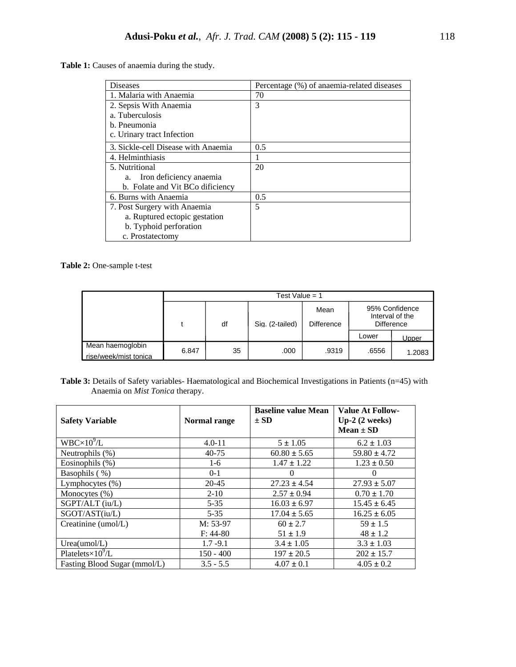**Table 1:** Causes of anaemia during the study.

| <b>Diseases</b>                     | Percentage (%) of anaemia-related diseases |
|-------------------------------------|--------------------------------------------|
| 1. Malaria with Anaemia             | 70                                         |
| 2. Sepsis With Anaemia              | 3                                          |
| a. Tuberculosis                     |                                            |
| b. Pneumonia                        |                                            |
| c. Urinary tract Infection          |                                            |
| 3. Sickle-cell Disease with Anaemia | 0.5                                        |
| 4. Helminthiasis                    |                                            |
| 5. Nutritional                      | 20                                         |
| Iron deficiency anaemia<br>a.       |                                            |
| b. Folate and Vit BCo dificiency    |                                            |
| 6. Burns with Anaemia               | 0.5                                        |
| 7. Post Surgery with Anaemia        | 5                                          |
| a. Ruptured ectopic gestation       |                                            |
| b. Typhoid perforation              |                                            |
| c. Prostatectomy                    |                                            |

**Table 2:** One-sample t-test

|                                           | Test Value = $1$ |    |                 |                   |                                                        |        |  |
|-------------------------------------------|------------------|----|-----------------|-------------------|--------------------------------------------------------|--------|--|
|                                           |                  |    |                 | Mean              | 95% Confidence<br>Interval of the<br><b>Difference</b> |        |  |
|                                           |                  | df | Sig. (2-tailed) | <b>Difference</b> |                                                        |        |  |
|                                           |                  |    |                 |                   | Lower                                                  | Upper  |  |
| Mean haemoglobin<br>rise/week/mist tonica | 6.847            | 35 | .000            | .9319             | .6556                                                  | 1.2083 |  |

Table 3: Details of Safety variables- Haematological and Biochemical Investigations in Patients (n=45) with Anaemia on *Mist Tonica* therapy.

| <b>Safety Variable</b>         | Normal range | <b>Baseline value Mean</b><br>$\pm$ SD | <b>Value At Follow-</b><br>$Up-2(2 weeks)$<br>$Mean \pm SD$ |
|--------------------------------|--------------|----------------------------------------|-------------------------------------------------------------|
| $WBC \times 10^9 \overline{L}$ | $4.0 - 11$   | $5 \pm 1.05$                           | $6.2 \pm 1.03$                                              |
| Neutrophils (%)                | $40 - 75$    | $60.80 \pm 5.65$                       | $59.80 \pm 4.72$                                            |
| Eosinophils $(\%)$             | $1-6$        | $1.47 \pm 1.22$                        | $1.23 \pm 0.50$                                             |
| Basophils (%)                  | $0 - 1$      | $\Omega$                               | $\theta$                                                    |
| Lymphocytes (%)                | 20-45        | $27.23 \pm 4.54$                       | $27.93 \pm 5.07$                                            |
| Monocytes $(\%)$               | $2 - 10$     | $2.57 \pm 0.94$                        | $0.70 \pm 1.70$                                             |
| $SGPT/ALT$ (iu/L)              | $5 - 35$     | $16.03 \pm 6.97$                       | $15.45 \pm 6.45$                                            |
| SGOT/AST(iu/L)                 | $5 - 35$     | $17.04 \pm 5.65$                       | $16.25 \pm 6.05$                                            |
| Creatinine $(umol/L)$          | M: 53-97     | $60 \pm 2.7$                           | $59 \pm 1.5$                                                |
|                                | $F: 44-80$   | $51 \pm 1.9$                           | $48 \pm 1.2$                                                |
| Urea(umol/L)                   | $1.7 - 9.1$  | $3.4 \pm 1.05$                         | $3.3 \pm 1.03$                                              |
| Platelets $\times 10^9$ /L     | $150 - 400$  | $197 \pm 20.5$                         | $202 \pm 15.7$                                              |
| Fasting Blood Sugar (mmol/L)   | $3.5 - 5.5$  | $4.07 \pm 0.1$                         | $4.05 \pm 0.2$                                              |